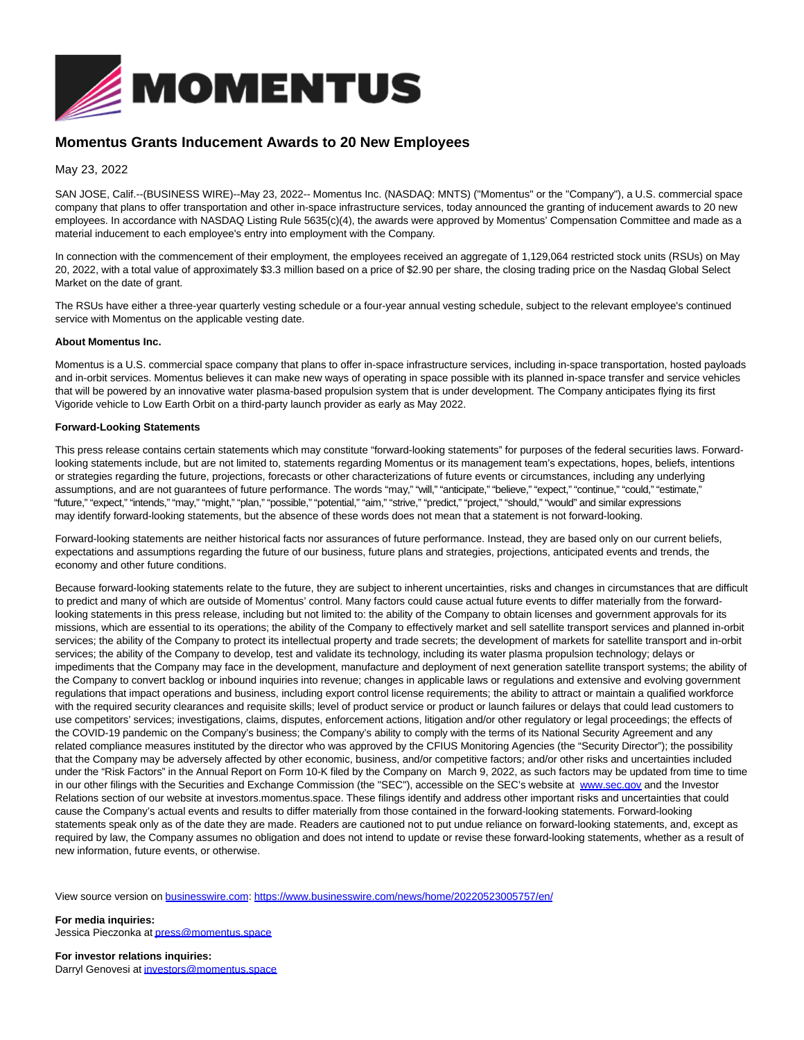

## **Momentus Grants Inducement Awards to 20 New Employees**

May 23, 2022

SAN JOSE, Calif.--(BUSINESS WIRE)--May 23, 2022-- Momentus Inc. (NASDAQ: MNTS) ("Momentus" or the "Company"), a U.S. commercial space company that plans to offer transportation and other in-space infrastructure services, today announced the granting of inducement awards to 20 new employees. In accordance with NASDAQ Listing Rule 5635(c)(4), the awards were approved by Momentus' Compensation Committee and made as a material inducement to each employee's entry into employment with the Company.

In connection with the commencement of their employment, the employees received an aggregate of 1,129,064 restricted stock units (RSUs) on May 20, 2022, with a total value of approximately \$3.3 million based on a price of \$2.90 per share, the closing trading price on the Nasdaq Global Select Market on the date of grant.

The RSUs have either a three-year quarterly vesting schedule or a four-year annual vesting schedule, subject to the relevant employee's continued service with Momentus on the applicable vesting date.

## **About Momentus Inc.**

Momentus is a U.S. commercial space company that plans to offer in-space infrastructure services, including in-space transportation, hosted payloads and in-orbit services. Momentus believes it can make new ways of operating in space possible with its planned in-space transfer and service vehicles that will be powered by an innovative water plasma-based propulsion system that is under development. The Company anticipates flying its first Vigoride vehicle to Low Earth Orbit on a third-party launch provider as early as May 2022.

## **Forward-Looking Statements**

This press release contains certain statements which may constitute "forward-looking statements" for purposes of the federal securities laws. Forwardlooking statements include, but are not limited to, statements regarding Momentus or its management team's expectations, hopes, beliefs, intentions or strategies regarding the future, projections, forecasts or other characterizations of future events or circumstances, including any underlying assumptions, and are not guarantees of future performance. The words "may," "will," "anticipate," "believe," "expect," "continue," "could," "estimate," "future," "expect," "intends," "may," "might," "plan," "possible," "potential," "aim," "strive," "predict," "project," "should," "would" and similar expressions may identify forward-looking statements, but the absence of these words does not mean that a statement is not forward-looking.

Forward-looking statements are neither historical facts nor assurances of future performance. Instead, they are based only on our current beliefs, expectations and assumptions regarding the future of our business, future plans and strategies, projections, anticipated events and trends, the economy and other future conditions.

Because forward-looking statements relate to the future, they are subject to inherent uncertainties, risks and changes in circumstances that are difficult to predict and many of which are outside of Momentus' control. Many factors could cause actual future events to differ materially from the forwardlooking statements in this press release, including but not limited to: the ability of the Company to obtain licenses and government approvals for its missions, which are essential to its operations; the ability of the Company to effectively market and sell satellite transport services and planned in-orbit services; the ability of the Company to protect its intellectual property and trade secrets; the development of markets for satellite transport and in-orbit services; the ability of the Company to develop, test and validate its technology, including its water plasma propulsion technology; delays or impediments that the Company may face in the development, manufacture and deployment of next generation satellite transport systems; the ability of the Company to convert backlog or inbound inquiries into revenue; changes in applicable laws or regulations and extensive and evolving government regulations that impact operations and business, including export control license requirements; the ability to attract or maintain a qualified workforce with the required security clearances and requisite skills; level of product service or product or launch failures or delays that could lead customers to use competitors' services; investigations, claims, disputes, enforcement actions, litigation and/or other regulatory or legal proceedings; the effects of the COVID-19 pandemic on the Company's business; the Company's ability to comply with the terms of its National Security Agreement and any related compliance measures instituted by the director who was approved by the CFIUS Monitoring Agencies (the "Security Director"); the possibility that the Company may be adversely affected by other economic, business, and/or competitive factors; and/or other risks and uncertainties included under the "Risk Factors" in the Annual Report on Form 10-K filed by the Company on March 9, 2022, as such factors may be updated from time to time in our other filings with the Securities and Exchange Commission (the "SEC"), accessible on the SEC's website at [www.sec.gov a](https://cts.businesswire.com/ct/CT?id=smartlink&url=http%3A%2F%2Fwww.sec.gov&esheet=52728014&newsitemid=20220523005757&lan=en-US&anchor=www.sec.gov&index=1&md5=d248c39bbc0cbee446de79e7944c2d56)nd the Investor Relations section of our website at investors.momentus.space. These filings identify and address other important risks and uncertainties that could cause the Company's actual events and results to differ materially from those contained in the forward-looking statements. Forward-looking statements speak only as of the date they are made. Readers are cautioned not to put undue reliance on forward-looking statements, and, except as required by law, the Company assumes no obligation and does not intend to update or revise these forward-looking statements, whether as a result of new information, future events, or otherwise.

View source version on [businesswire.com:](http://businesswire.com/)<https://www.businesswire.com/news/home/20220523005757/en/>

**For media inquiries:** Jessica Pieczonka a[t press@momentus.space](mailto:press@momentus.space)

**For investor relations inquiries:** Darryl Genovesi at [investors@momentus.space](mailto:investors@momentus.space)